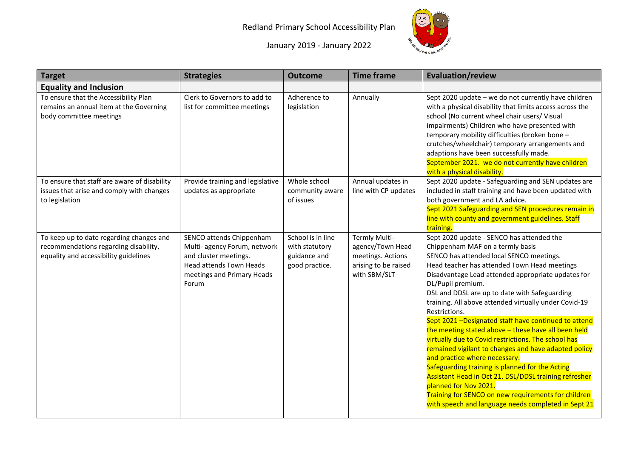## Redland Primary School Accessibility Plan



January 2019 - January 2022

| <b>Target</b>                                                                                                              | <b>Strategies</b>                                                                                                                                          | <b>Outcome</b>                                                        | <b>Time frame</b>                                                                              | <b>Evaluation/review</b>                                                                                                                                                                                                                                                                                                                                                                                                                                                                                                                                                                                                                                                                                                                                                                                                                                                                          |
|----------------------------------------------------------------------------------------------------------------------------|------------------------------------------------------------------------------------------------------------------------------------------------------------|-----------------------------------------------------------------------|------------------------------------------------------------------------------------------------|---------------------------------------------------------------------------------------------------------------------------------------------------------------------------------------------------------------------------------------------------------------------------------------------------------------------------------------------------------------------------------------------------------------------------------------------------------------------------------------------------------------------------------------------------------------------------------------------------------------------------------------------------------------------------------------------------------------------------------------------------------------------------------------------------------------------------------------------------------------------------------------------------|
| <b>Equality and Inclusion</b>                                                                                              |                                                                                                                                                            |                                                                       |                                                                                                |                                                                                                                                                                                                                                                                                                                                                                                                                                                                                                                                                                                                                                                                                                                                                                                                                                                                                                   |
| To ensure that the Accessibility Plan<br>remains an annual item at the Governing<br>body committee meetings                | Clerk to Governors to add to<br>list for committee meetings                                                                                                | Adherence to<br>legislation                                           | Annually                                                                                       | Sept 2020 update - we do not currently have children<br>with a physical disability that limits access across the<br>school (No current wheel chair users/ Visual<br>impairments) Children who have presented with<br>temporary mobility difficulties (broken bone -<br>crutches/wheelchair) temporary arrangements and<br>adaptions have been successfully made.<br>September 2021. we do not currently have children<br>with a physical disability.                                                                                                                                                                                                                                                                                                                                                                                                                                              |
| To ensure that staff are aware of disability<br>issues that arise and comply with changes<br>to legislation                | Provide training and legislative<br>updates as appropriate                                                                                                 | Whole school<br>community aware<br>of issues                          | Annual updates in<br>line with CP updates                                                      | Sept 2020 update - Safeguarding and SEN updates are<br>included in staff training and have been updated with<br>both government and LA advice.<br>Sept 2021 Safeguarding and SEN procedures remain in<br>line with county and government guidelines. Staff<br>training.                                                                                                                                                                                                                                                                                                                                                                                                                                                                                                                                                                                                                           |
| To keep up to date regarding changes and<br>recommendations regarding disability,<br>equality and accessibility guidelines | SENCO attends Chippenham<br>Multi- agency Forum, network<br>and cluster meetings.<br><b>Head attends Town Heads</b><br>meetings and Primary Heads<br>Forum | School is in line<br>with statutory<br>guidance and<br>good practice. | Termly Multi-<br>agency/Town Head<br>meetings. Actions<br>arising to be raised<br>with SBM/SLT | Sept 2020 update - SENCO has attended the<br>Chippenham MAF on a termly basis<br>SENCO has attended local SENCO meetings.<br>Head teacher has attended Town Head meetings<br>Disadvantage Lead attended appropriate updates for<br>DL/Pupil premium.<br>DSL and DDSL are up to date with Safeguarding<br>training. All above attended virtually under Covid-19<br>Restrictions.<br>Sept 2021 -Designated staff have continued to attend<br>the meeting stated above - these have all been held<br>virtually due to Covid restrictions. The school has<br>remained vigilant to changes and have adapted policy<br>and practice where necessary.<br>Safeguarding training is planned for the Acting<br>Assistant Head in Oct 21. DSL/DDSL training refresher<br>planned for Nov 2021.<br>Training for SENCO on new requirements for children<br>with speech and language needs completed in Sept 21 |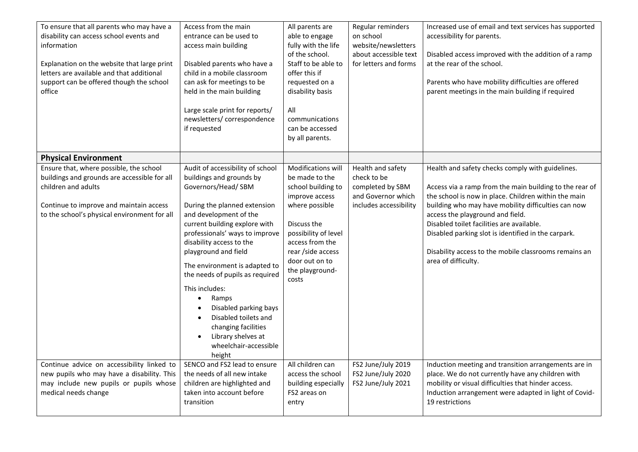| To ensure that all parents who may have a<br>disability can access school events and<br>information<br>Explanation on the website that large print<br>letters are available and that additional<br>support can be offered though the school<br>office | Access from the main<br>entrance can be used to<br>access main building<br>Disabled parents who have a<br>child in a mobile classroom<br>can ask for meetings to be<br>held in the main building<br>Large scale print for reports/<br>newsletters/correspondence<br>if requested                                                                                                                                                                                                                                                                         | All parents are<br>able to engage<br>fully with the life<br>of the school.<br>Staff to be able to<br>offer this if<br>requested on a<br>disability basis<br>All<br>communications<br>can be accessed<br>by all parents.      | Regular reminders<br>on school<br>website/newsletters<br>about accessible text<br>for letters and forms | Increased use of email and text services has supported<br>accessibility for parents.<br>Disabled access improved with the addition of a ramp<br>at the rear of the school.<br>Parents who have mobility difficulties are offered<br>parent meetings in the main building if required                                                                                                                                                               |
|-------------------------------------------------------------------------------------------------------------------------------------------------------------------------------------------------------------------------------------------------------|----------------------------------------------------------------------------------------------------------------------------------------------------------------------------------------------------------------------------------------------------------------------------------------------------------------------------------------------------------------------------------------------------------------------------------------------------------------------------------------------------------------------------------------------------------|------------------------------------------------------------------------------------------------------------------------------------------------------------------------------------------------------------------------------|---------------------------------------------------------------------------------------------------------|----------------------------------------------------------------------------------------------------------------------------------------------------------------------------------------------------------------------------------------------------------------------------------------------------------------------------------------------------------------------------------------------------------------------------------------------------|
| <b>Physical Environment</b>                                                                                                                                                                                                                           |                                                                                                                                                                                                                                                                                                                                                                                                                                                                                                                                                          |                                                                                                                                                                                                                              |                                                                                                         |                                                                                                                                                                                                                                                                                                                                                                                                                                                    |
| Ensure that, where possible, the school<br>buildings and grounds are accessible for all<br>children and adults<br>Continue to improve and maintain access<br>to the school's physical environment for all                                             | Audit of accessibility of school<br>buildings and grounds by<br>Governors/Head/ SBM<br>During the planned extension<br>and development of the<br>current building explore with<br>professionals' ways to improve<br>disability access to the<br>playground and field<br>The environment is adapted to<br>the needs of pupils as required<br>This includes:<br>Ramps<br>$\bullet$<br>Disabled parking bays<br>$\bullet$<br>Disabled toilets and<br>$\bullet$<br>changing facilities<br>Library shelves at<br>$\bullet$<br>wheelchair-accessible<br>height | Modifications will<br>be made to the<br>school building to<br>improve access<br>where possible<br>Discuss the<br>possibility of level<br>access from the<br>rear / side access<br>door out on to<br>the playground-<br>costs | Health and safety<br>check to be<br>completed by SBM<br>and Governor which<br>includes accessibility    | Health and safety checks comply with guidelines.<br>Access via a ramp from the main building to the rear of<br>the school is now in place. Children within the main<br>building who may have mobility difficulties can now<br>access the playground and field.<br>Disabled toilet facilities are available.<br>Disabled parking slot is identified in the carpark.<br>Disability access to the mobile classrooms remains an<br>area of difficulty. |
| Continue advice on accessibility linked to<br>new pupils who may have a disability. This<br>may include new pupils or pupils whose<br>medical needs change                                                                                            | SENCO and FS2 lead to ensure<br>the needs of all new intake<br>children are highlighted and<br>taken into account before<br>transition                                                                                                                                                                                                                                                                                                                                                                                                                   | All children can<br>access the school<br>building especially<br>FS2 areas on<br>entry                                                                                                                                        | FS2 June/July 2019<br>FS2 June/July 2020<br>FS2 June/July 2021                                          | Induction meeting and transition arrangements are in<br>place. We do not currently have any children with<br>mobility or visual difficulties that hinder access.<br>Induction arrangement were adapted in light of Covid-<br>19 restrictions                                                                                                                                                                                                       |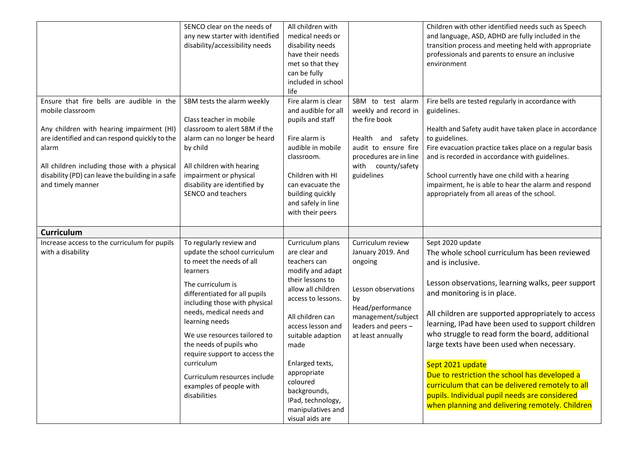|                                                                                                                                                                                                                                                                                                                    | SENCO clear on the needs of<br>any new starter with identified<br>disability/accessibility needs                                                                                                                                                                                                                                                                                                                          | All children with<br>medical needs or<br>disability needs<br>have their needs<br>met so that they<br>can be fully<br>included in school<br>life                                                                                                                                                                                        |                                                                                                                                                                       | Children with other identified needs such as Speech<br>and language, ASD, ADHD are fully included in the<br>transition process and meeting held with appropriate<br>professionals and parents to ensure an inclusive<br>environment                                                                                                                                                                                                                                                                                                                                                                                 |
|--------------------------------------------------------------------------------------------------------------------------------------------------------------------------------------------------------------------------------------------------------------------------------------------------------------------|---------------------------------------------------------------------------------------------------------------------------------------------------------------------------------------------------------------------------------------------------------------------------------------------------------------------------------------------------------------------------------------------------------------------------|----------------------------------------------------------------------------------------------------------------------------------------------------------------------------------------------------------------------------------------------------------------------------------------------------------------------------------------|-----------------------------------------------------------------------------------------------------------------------------------------------------------------------|---------------------------------------------------------------------------------------------------------------------------------------------------------------------------------------------------------------------------------------------------------------------------------------------------------------------------------------------------------------------------------------------------------------------------------------------------------------------------------------------------------------------------------------------------------------------------------------------------------------------|
| Ensure that fire bells are audible in the<br>mobile classroom<br>Any children with hearing impairment (HI)<br>are identified and can respond quickly to the<br>alarm<br>All children including those with a physical<br>disability (PD) can leave the building in a safe<br>and timely manner<br><b>Curriculum</b> | SBM tests the alarm weekly<br>Class teacher in mobile<br>classroom to alert SBM if the<br>alarm can no longer be heard<br>by child<br>All children with hearing<br>impairment or physical<br>disability are identified by<br>SENCO and teachers                                                                                                                                                                           | Fire alarm is clear<br>and audible for all<br>pupils and staff<br>Fire alarm is<br>audible in mobile<br>classroom.<br>Children with HI<br>can evacuate the<br>building quickly<br>and safely in line<br>with their peers                                                                                                               | SBM to test alarm<br>weekly and record in<br>the fire book<br>Health and safety<br>audit to ensure fire<br>procedures are in line<br>with county/safety<br>guidelines | Fire bells are tested regularly in accordance with<br>guidelines.<br>Health and Safety audit have taken place in accordance<br>to guidelines.<br>Fire evacuation practice takes place on a regular basis<br>and is recorded in accordance with guidelines.<br>School currently have one child with a hearing<br>impairment, he is able to hear the alarm and respond<br>appropriately from all areas of the school.                                                                                                                                                                                                 |
| Increase access to the curriculum for pupils<br>with a disability                                                                                                                                                                                                                                                  | To regularly review and<br>update the school curriculum<br>to meet the needs of all<br>learners<br>The curriculum is<br>differentiated for all pupils<br>including those with physical<br>needs, medical needs and<br>learning needs<br>We use resources tailored to<br>the needs of pupils who<br>require support to access the<br>curriculum<br>Curriculum resources include<br>examples of people with<br>disabilities | Curriculum plans<br>are clear and<br>teachers can<br>modify and adapt<br>their lessons to<br>allow all children<br>access to lessons.<br>All children can<br>access lesson and<br>suitable adaption<br>made<br>Enlarged texts,<br>appropriate<br>coloured<br>backgrounds,<br>IPad, technology,<br>manipulatives and<br>visual aids are | Curriculum review<br>January 2019. And<br>ongoing<br>Lesson observations<br>by<br>Head/performance<br>management/subject<br>leaders and peers -<br>at least annually  | Sept 2020 update<br>The whole school curriculum has been reviewed<br>and is inclusive.<br>Lesson observations, learning walks, peer support<br>and monitoring is in place.<br>All children are supported appropriately to access<br>learning, IPad have been used to support children<br>who struggle to read form the board, additional<br>large texts have been used when necessary.<br>Sept 2021 update<br>Due to restriction the school has developed a<br>curriculum that can be delivered remotely to all<br>pupils. Individual pupil needs are considered<br>when planning and delivering remotely. Children |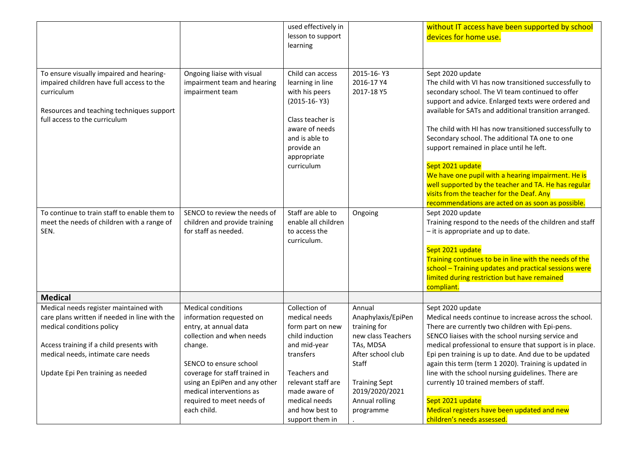| Ongoing liaise with visual                                                                                                                                                                                                                                                                 | lesson to support<br>learning                                                                                                                                                                 |                                                                                                                                                                                        | devices for home use.                                                                                                                                                                                                                                                                                                                                                                                                                                                                                                              |
|--------------------------------------------------------------------------------------------------------------------------------------------------------------------------------------------------------------------------------------------------------------------------------------------|-----------------------------------------------------------------------------------------------------------------------------------------------------------------------------------------------|----------------------------------------------------------------------------------------------------------------------------------------------------------------------------------------|------------------------------------------------------------------------------------------------------------------------------------------------------------------------------------------------------------------------------------------------------------------------------------------------------------------------------------------------------------------------------------------------------------------------------------------------------------------------------------------------------------------------------------|
|                                                                                                                                                                                                                                                                                            |                                                                                                                                                                                               |                                                                                                                                                                                        |                                                                                                                                                                                                                                                                                                                                                                                                                                                                                                                                    |
|                                                                                                                                                                                                                                                                                            |                                                                                                                                                                                               |                                                                                                                                                                                        |                                                                                                                                                                                                                                                                                                                                                                                                                                                                                                                                    |
|                                                                                                                                                                                                                                                                                            |                                                                                                                                                                                               |                                                                                                                                                                                        |                                                                                                                                                                                                                                                                                                                                                                                                                                                                                                                                    |
| impairment team                                                                                                                                                                                                                                                                            | Child can access<br>learning in line<br>with his peers<br>$(2015-16-Y3)$<br>Class teacher is<br>aware of needs<br>and is able to<br>provide an<br>appropriate<br>curriculum                   | 2015-16-Y3<br>2016-17 Y4<br>2017-18 Y5                                                                                                                                                 | Sept 2020 update<br>The child with VI has now transitioned successfully to<br>secondary school. The VI team continued to offer<br>support and advice. Enlarged texts were ordered and<br>available for SATs and additional transition arranged.<br>The child with HI has now transitioned successfully to<br>Secondary school. The additional TA one to one<br>support remained in place until he left.<br>Sept 2021 update                                                                                                        |
|                                                                                                                                                                                                                                                                                            |                                                                                                                                                                                               |                                                                                                                                                                                        | We have one pupil with a hearing impairment. He is<br>well supported by the teacher and TA. He has regular<br>visits from the teacher for the Deaf. Any<br>recommendations are acted on as soon as possible.                                                                                                                                                                                                                                                                                                                       |
| SENCO to review the needs of<br>children and provide training<br>for staff as needed.                                                                                                                                                                                                      | enable all children<br>to access the<br>curriculum.                                                                                                                                           | Ongoing                                                                                                                                                                                | Sept 2020 update<br>Training respond to the needs of the children and staff<br>- it is appropriate and up to date.<br>Sept 2021 update<br>Training continues to be in line with the needs of the<br>school - Training updates and practical sessions were<br>limited during restriction but have remained<br>compliant.                                                                                                                                                                                                            |
|                                                                                                                                                                                                                                                                                            |                                                                                                                                                                                               |                                                                                                                                                                                        |                                                                                                                                                                                                                                                                                                                                                                                                                                                                                                                                    |
| <b>Medical conditions</b><br>information requested on<br>entry, at annual data<br>collection and when needs<br>change.<br>SENCO to ensure school<br>coverage for staff trained in<br>using an EpiPen and any other<br>medical interventions as<br>required to meet needs of<br>each child. | Collection of<br>medical needs<br>form part on new<br>child induction<br>and mid-year<br>transfers<br>Teachers and<br>relevant staff are<br>made aware of<br>medical needs<br>and how best to | Annual<br>Anaphylaxis/EpiPen<br>training for<br>new class Teachers<br>TAs, MDSA<br>After school club<br>Staff<br><b>Training Sept</b><br>2019/2020/2021<br>Annual rolling<br>programme | Sept 2020 update<br>Medical needs continue to increase across the school.<br>There are currently two children with Epi-pens.<br>SENCO liaises with the school nursing service and<br>medical professional to ensure that support is in place.<br>Epi pen training is up to date. And due to be updated<br>again this term (term 1 2020). Training is updated in<br>line with the school nursing guidelines. There are<br>currently 10 trained members of staff.<br>Sept 2021 update<br>Medical registers have been updated and new |
|                                                                                                                                                                                                                                                                                            | impairment team and hearing                                                                                                                                                                   | Staff are able to                                                                                                                                                                      | support them in                                                                                                                                                                                                                                                                                                                                                                                                                                                                                                                    |